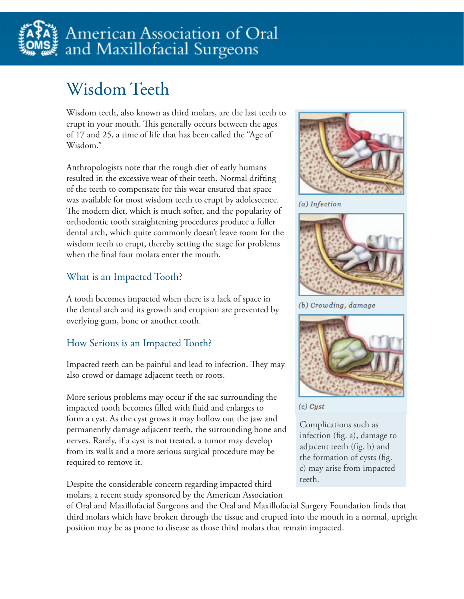

# Wisdom Teeth

Wisdom teeth, also known as third molars, are the last teeth to erupt in your mouth. This generally occurs between the ages of 17 and 25, a time of life that has been called the "Age of Wisdom."

Anthropologists note that the rough diet of early humans resulted in the excessive wear of their teeth. Normal drifting of the teeth to compensate for this wear ensured that space was available for most wisdom teeth to erupt by adolescence. The modern diet, which is much softer, and the popularity of orthodontic tooth straightening procedures produce a fuller dental arch, which quite commonly doesn't leave room for the wisdom teeth to erupt, thereby setting the stage for problems when the final four molars enter the mouth.

#### What is an Impacted Tooth?

A tooth becomes impacted when there is a lack of space in the dental arch and its growth and eruption are prevented by overlying gum, bone or another tooth.

#### How Serious is an Impacted Tooth?

Impacted teeth can be painful and lead to infection. They may also crowd or damage adjacent teeth or roots.

More serious problems may occur if the sac surrounding the impacted tooth becomes filled with fluid and enlarges to form a cyst. As the cyst grows it may hollow out the jaw and permanently damage adjacent teeth, the surrounding bone and nerves. Rarely, if a cyst is not treated, a tumor may develop from its walls and a more serious surgical procedure may be required to remove it.

Despite the considerable concern regarding impacted third molars, a recent study sponsored by the American Association



(a) Infection



(b) Crowding, damage



 $(c)$  Cyst

Complications such as infection (fig. a), damage to adjacent teeth (fig. b) and the formation of cysts (fig. c) may arise from impacted teeth.

of Oral and Maxillofacial Surgeons and the Oral and Maxillofacial Surgery Foundation finds that third molars which have broken through the tissue and erupted into the mouth in a normal, upright position may be as prone to disease as those third molars that remain impacted.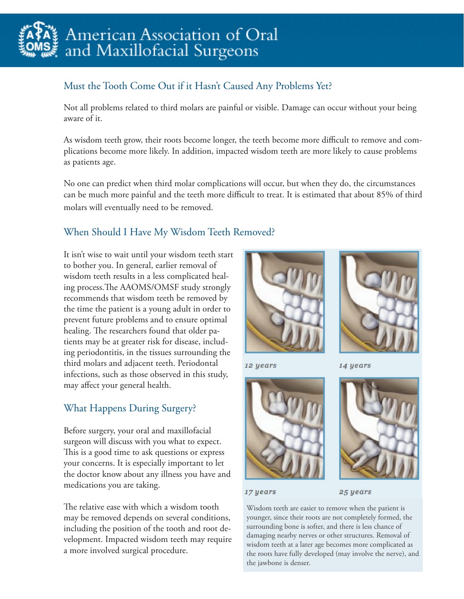

# American Association of Oral and Maxillofacial Surgeons

## Must the Tooth Come Out if it Hasn't Caused Any Problems Yet?

Not all problems related to third molars are painful or visible. Damage can occur without your being aware of it.

As wisdom teeth grow, their roots become longer, the teeth become more difficult to remove and complications become more likely. In addition, impacted wisdom teeth are more likely to cause problems as patients age.

No one can predict when third molar complications will occur, but when they do, the circumstances can be much more painful and the teeth more difficult to treat. It is estimated that about 85% of third molars will eventually need to be removed.

#### When Should I Have My Wisdom Teeth Removed?

It isn't wise to wait until your wisdom teeth start to bother you. In general, earlier removal of wisdom teeth results in a less complicated healing process.The AAOMS/OMSF study strongly recommends that wisdom teeth be removed by the time the patient is a young adult in order to prevent future problems and to ensure optimal healing. The researchers found that older patients may be at greater risk for disease, including periodontitis, in the tissues surrounding the third molars and adjacent teeth. Periodontal infections, such as those observed in this study, may affect your general health.

#### What Happens During Surgery?

Before surgery, your oral and maxillofacial surgeon will discuss with you what to expect. This is a good time to ask questions or express your concerns. It is especially important to let the doctor know about any illness you have and medications you are taking.

The relative ease with which a wisdom tooth may be removed depends on several conditions, including the position of the tooth and root development. Impacted wisdom teeth may require a more involved surgical procedure.



12 years

14 years





17 years

25 years

Wisdom teeth are easier to remove when the patient is younger, since their roots are not completely formed, the surrounding bone is softer, and there is less chance of damaging nearby nerves or other structures. Removal of wisdom teeth at a later age becomes more complicated as the roots have fully developed (may involve the nerve), and the jawbone is denser.